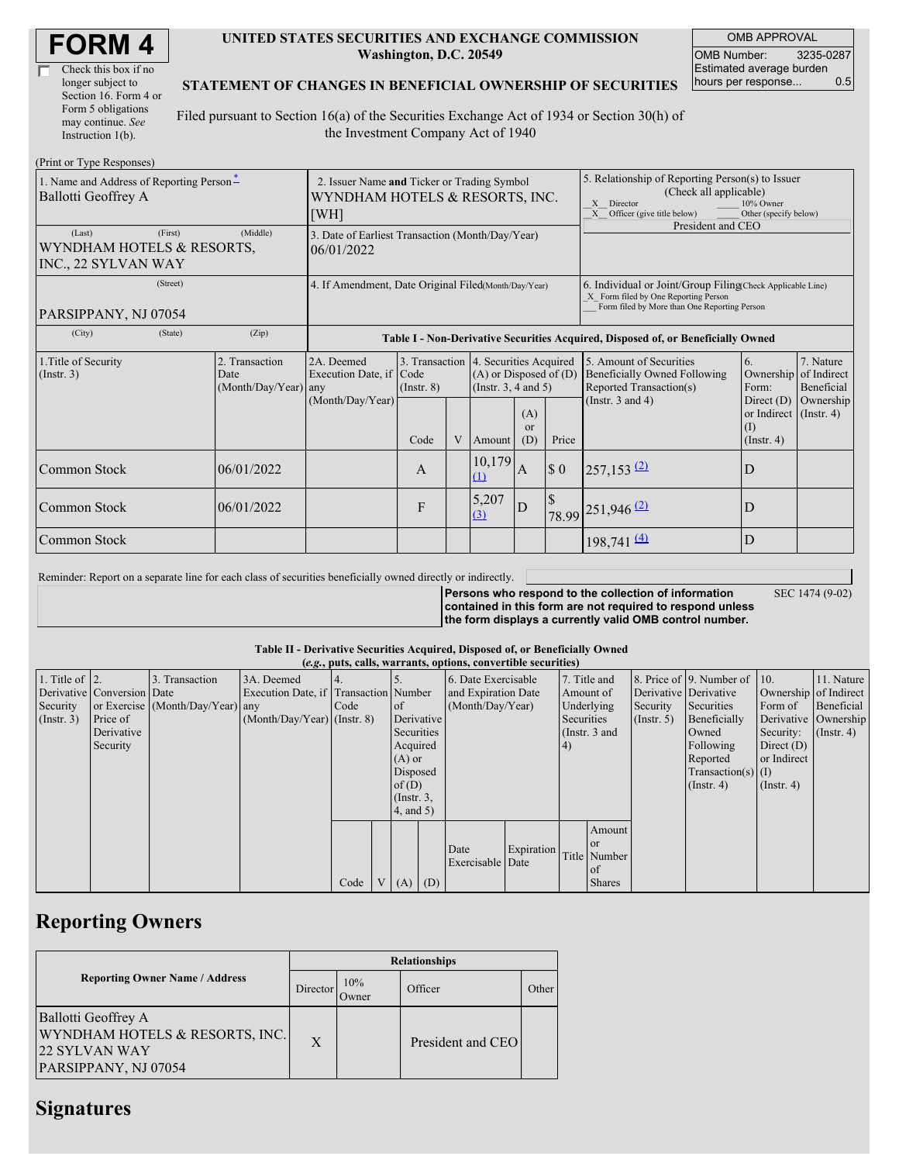| <b>FORM4</b> |
|--------------|
|--------------|

| Check this box if no  |
|-----------------------|
| longer subject to     |
| Section 16. Form 4 or |
| Form 5 obligations    |
| may continue. See     |
| Instruction $1(b)$ .  |

#### **UNITED STATES SECURITIES AND EXCHANGE COMMISSION Washington, D.C. 20549**

OMB APPROVAL OMB Number: 3235-0287 Estimated average burden hours per response... 0.5

### **STATEMENT OF CHANGES IN BENEFICIAL OWNERSHIP OF SECURITIES**

Filed pursuant to Section 16(a) of the Securities Exchange Act of 1934 or Section 30(h) of the Investment Company Act of 1940

| (Print or Type Responses)                                             |                                                                                       |                                                           |                 |   |                                                                                                 |                        |                                                                                                                                                                   |                                                                                           |                                                                              |                         |
|-----------------------------------------------------------------------|---------------------------------------------------------------------------------------|-----------------------------------------------------------|-----------------|---|-------------------------------------------------------------------------------------------------|------------------------|-------------------------------------------------------------------------------------------------------------------------------------------------------------------|-------------------------------------------------------------------------------------------|------------------------------------------------------------------------------|-------------------------|
| 1. Name and Address of Reporting Person-<br>Ballotti Geoffrey A       | 2. Issuer Name and Ticker or Trading Symbol<br>WYNDHAM HOTELS & RESORTS, INC.<br>[WH] |                                                           |                 |   |                                                                                                 |                        | 5. Relationship of Reporting Person(s) to Issuer<br>(Check all applicable)<br>X Director<br>10% Owner<br>Officer (give title below)<br>Other (specify below)<br>X |                                                                                           |                                                                              |                         |
| (First)<br>(Last)<br>WYNDHAM HOTELS & RESORTS,<br>INC., 22 SYLVAN WAY | 3. Date of Earliest Transaction (Month/Day/Year)<br>06/01/2022                        |                                                           |                 |   |                                                                                                 |                        | President and CEO                                                                                                                                                 |                                                                                           |                                                                              |                         |
| (Street)<br>PARSIPPANY, NJ 07054                                      | 4. If Amendment, Date Original Filed(Month/Day/Year)                                  |                                                           |                 |   |                                                                                                 |                        | 6. Individual or Joint/Group Filing Check Applicable Line)<br>X Form filed by One Reporting Person<br>Form filed by More than One Reporting Person                |                                                                                           |                                                                              |                         |
| (State)<br>(City)                                                     | Table I - Non-Derivative Securities Acquired, Disposed of, or Beneficially Owned      |                                                           |                 |   |                                                                                                 |                        |                                                                                                                                                                   |                                                                                           |                                                                              |                         |
| 1. Title of Security<br>$($ Instr. 3 $)$                              | 2. Transaction<br>Date<br>$(Month/Day/Year)$ any                                      | 2A. Deemed<br>Execution Date, if Code<br>(Month/Day/Year) | $($ Instr. $8)$ |   | 3. Transaction 4. Securities Acquired<br>$(A)$ or Disposed of $(D)$<br>(Instr. $3, 4$ and $5$ ) |                        |                                                                                                                                                                   | 5. Amount of Securities<br><b>Beneficially Owned Following</b><br>Reported Transaction(s) | 6.<br>Ownership of Indirect<br>Form:                                         | 7. Nature<br>Beneficial |
|                                                                       |                                                                                       |                                                           | Code            | V | Amount                                                                                          | (A)<br>$\alpha$<br>(D) | Price                                                                                                                                                             | (Instr. $3$ and $4$ )                                                                     | Direct $(D)$<br>or Indirect $($ Instr. 4 $)$<br>$\rm(I)$<br>$($ Instr. 4 $)$ | Ownership               |
| Common Stock                                                          | 06/01/2022                                                                            |                                                           | A               |   | 10,179<br>$\Omega$                                                                              | A                      | $\boldsymbol{\mathsf{S}}$ 0                                                                                                                                       | $257,153$ $(2)$                                                                           | D                                                                            |                         |
| Common Stock                                                          | 06/01/2022                                                                            |                                                           | F               |   | 5,207<br>(3)                                                                                    | D                      | $\mathcal{S}$                                                                                                                                                     | 78.99 251,946 (2)                                                                         | D                                                                            |                         |
| Common Stock                                                          |                                                                                       |                                                           |                 |   |                                                                                                 |                        |                                                                                                                                                                   | $198,741 \stackrel{(4)}{=}$                                                               | D                                                                            |                         |

Reminder: Report on a separate line for each class of securities beneficially owned directly or indirectly.

**Persons who respond to the collection of information contained in this form are not required to respond unless**

SEC 1474 (9-02)

**the form displays a currently valid OMB control number.**

#### **Table II - Derivative Securities Acquired, Disposed of, or Beneficially Owned**

|                        | (e.g., puts, calls, warrants, options, convertible securities) |                                  |                                       |      |  |                 |          |                     |                                  |            |               |               |                          |                       |                      |
|------------------------|----------------------------------------------------------------|----------------------------------|---------------------------------------|------|--|-----------------|----------|---------------------|----------------------------------|------------|---------------|---------------|--------------------------|-----------------------|----------------------|
| 1. Title of $\vert$ 2. |                                                                | 3. Transaction                   | 3A. Deemed                            | 4.   |  |                 |          | 6. Date Exercisable |                                  |            | 7. Title and  |               | 8. Price of 9. Number of | $\vert$ 10.           | 11. Nature           |
|                        | Derivative Conversion Date                                     |                                  | Execution Date, if Transaction Number |      |  |                 |          |                     | and Expiration Date<br>Amount of |            |               |               | Derivative Derivative    | Ownership of Indirect |                      |
| Security               |                                                                | or Exercise (Month/Day/Year) any |                                       | Code |  | <sub>of</sub>   |          | (Month/Day/Year)    |                                  | Underlying |               | Security      | Securities               | Form of               | Beneficial           |
| $($ Instr. 3 $)$       | Price of                                                       |                                  | $(Month/Day/Year)$ (Instr. 8)         |      |  | Derivative      |          |                     |                                  | Securities |               | $($ Instr. 5) | Beneficially             |                       | Derivative Ownership |
|                        | Derivative                                                     |                                  |                                       |      |  | Securities      |          |                     |                                  |            | (Instr. 3 and |               | Owned                    | Security:             | $($ Instr. 4 $)$     |
|                        | Security                                                       |                                  |                                       |      |  | Acquired        |          |                     |                                  | 4)         |               |               | Following                | Direct $(D)$          |                      |
|                        |                                                                |                                  |                                       |      |  | $(A)$ or        |          |                     |                                  |            |               |               | Reported                 | or Indirect           |                      |
|                        |                                                                |                                  |                                       |      |  |                 | Disposed |                     |                                  |            |               |               | $Transaction(s)$ (I)     |                       |                      |
|                        |                                                                |                                  |                                       |      |  | of(D)           |          |                     |                                  |            |               |               | $($ Instr. 4 $)$         | $($ Instr. 4 $)$      |                      |
|                        |                                                                |                                  |                                       |      |  | $($ Instr. $3,$ |          |                     |                                  |            |               |               |                          |                       |                      |
|                        |                                                                |                                  |                                       |      |  | $4$ , and $5$ ) |          |                     |                                  |            |               |               |                          |                       |                      |
|                        |                                                                |                                  |                                       |      |  |                 |          |                     |                                  |            | Amount        |               |                          |                       |                      |
|                        |                                                                |                                  |                                       |      |  |                 |          |                     |                                  |            | <b>or</b>     |               |                          |                       |                      |
|                        |                                                                |                                  |                                       |      |  |                 |          | Date                | Expiration                       |            | Title Number  |               |                          |                       |                      |
|                        |                                                                |                                  |                                       |      |  |                 |          | Exercisable Date    |                                  |            | of            |               |                          |                       |                      |
|                        |                                                                |                                  |                                       | Code |  | V(A)<br>(D)     |          |                     |                                  |            | <b>Shares</b> |               |                          |                       |                      |

### **Reporting Owners**

|                                                                                                | <b>Relationships</b> |              |                   |       |  |  |  |  |  |
|------------------------------------------------------------------------------------------------|----------------------|--------------|-------------------|-------|--|--|--|--|--|
| <b>Reporting Owner Name / Address</b>                                                          | Director             | 10%<br>Owner | Officer           | Other |  |  |  |  |  |
| Ballotti Geoffrey A<br>WYNDHAM HOTELS & RESORTS, INC.<br>22 SYLVAN WAY<br>PARSIPPANY, NJ 07054 | X                    |              | President and CEO |       |  |  |  |  |  |

## **Signatures**